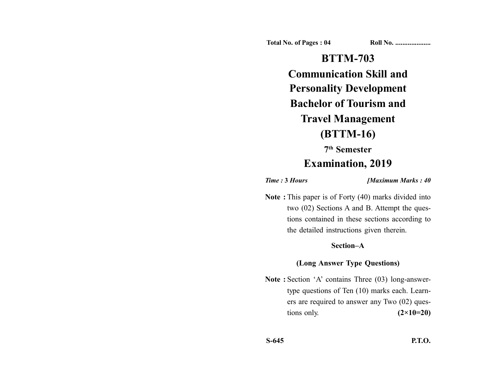**Total No. of Pages : 04 Roll No. ...................** 

# **BTTM-703 Communication Skill and Personality Development Bachelor of Tourism and Travel Management (BTTM-16)**

## **7th Semester**

# **Examination, 2019**

*Time :* **3** *Hours [Maximum Marks : 40*

**Note :** This paper is of Forty (40) marks divided into two (02) Sections A and B. Attempt the questions contained in these sections according to the detailed instructions given therein.

#### **Section–A**

#### **(Long Answer Type Questions)**

Note : Section 'A' contains Three (03) long-answertype questions of Ten (10) marks each. Learners are required to answer any Two (02) questions only. **(2×10=20)**